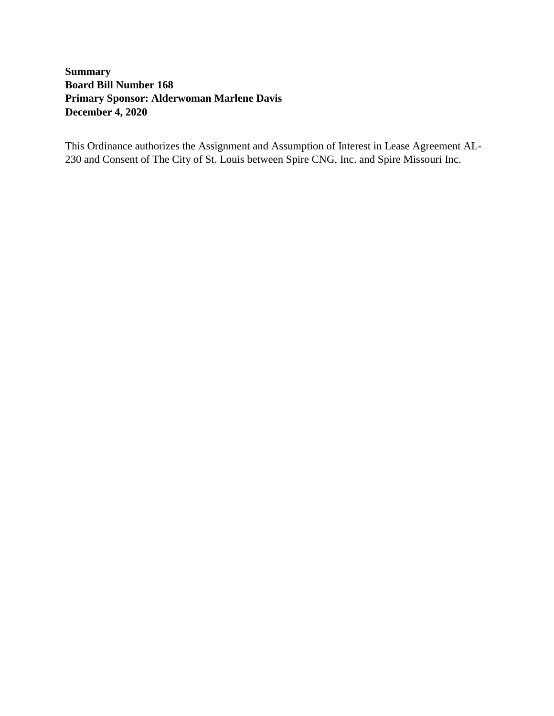# **Summary Board Bill Number 168 Primary Sponsor: Alderwoman Marlene Davis December 4, 2020**

This Ordinance authorizes the Assignment and Assumption of Interest in Lease Agreement AL-230 and Consent of The City of St. Louis between Spire CNG, Inc. and Spire Missouri Inc.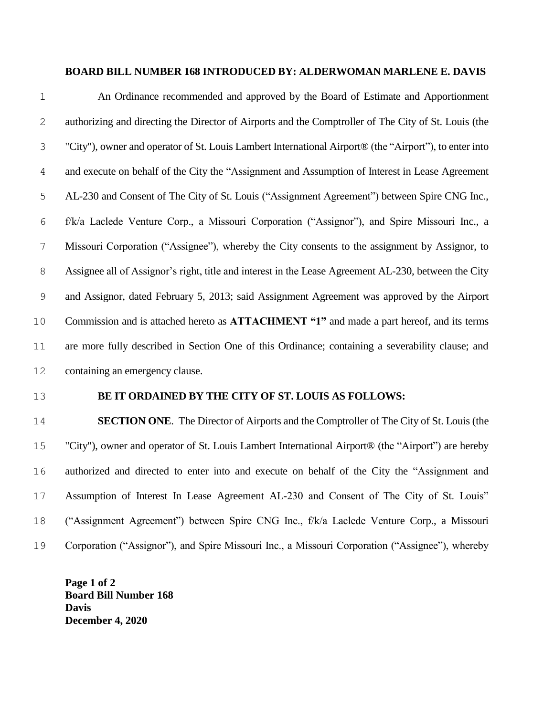#### **BOARD BILL NUMBER 168 INTRODUCED BY: ALDERWOMAN MARLENE E. DAVIS**

| $\mathbf 1$   | An Ordinance recommended and approved by the Board of Estimate and Apportionment                       |
|---------------|--------------------------------------------------------------------------------------------------------|
| 2             | authorizing and directing the Director of Airports and the Comptroller of The City of St. Louis (the   |
| 3             | "City"), owner and operator of St. Louis Lambert International Airport® (the "Airport"), to enter into |
| 4             | and execute on behalf of the City the "Assignment and Assumption of Interest in Lease Agreement        |
| 5             | AL-230 and Consent of The City of St. Louis ("Assignment Agreement") between Spire CNG Inc.,           |
| 6             | f/k/a Laclede Venture Corp., a Missouri Corporation ("Assignor"), and Spire Missouri Inc., a           |
| 7             | Missouri Corporation ("Assignee"), whereby the City consents to the assignment by Assignor, to         |
| $\,8\,$       | Assignee all of Assignor's right, title and interest in the Lease Agreement AL-230, between the City   |
| $\mathcal{G}$ | and Assignor, dated February 5, 2013; said Assignment Agreement was approved by the Airport            |
| 10            | Commission and is attached hereto as ATTACHMENT "1" and made a part hereof, and its terms              |
| 11            | are more fully described in Section One of this Ordinance; containing a severability clause; and       |
| 12            | containing an emergency clause.                                                                        |
|               |                                                                                                        |

#### **BE IT ORDAINED BY THE CITY OF ST. LOUIS AS FOLLOWS:**

 **SECTION ONE**. The Director of Airports and the Comptroller of The City of St. Louis (the "City"), owner and operator of St. Louis Lambert International Airport® (the "Airport") are hereby authorized and directed to enter into and execute on behalf of the City the "Assignment and Assumption of Interest In Lease Agreement AL-230 and Consent of The City of St. Louis" ("Assignment Agreement") between Spire CNG Inc., f/k/a Laclede Venture Corp., a Missouri Corporation ("Assignor"), and Spire Missouri Inc., a Missouri Corporation ("Assignee"), whereby

**Page 1 of 2 Board Bill Number 168 Davis December 4, 2020**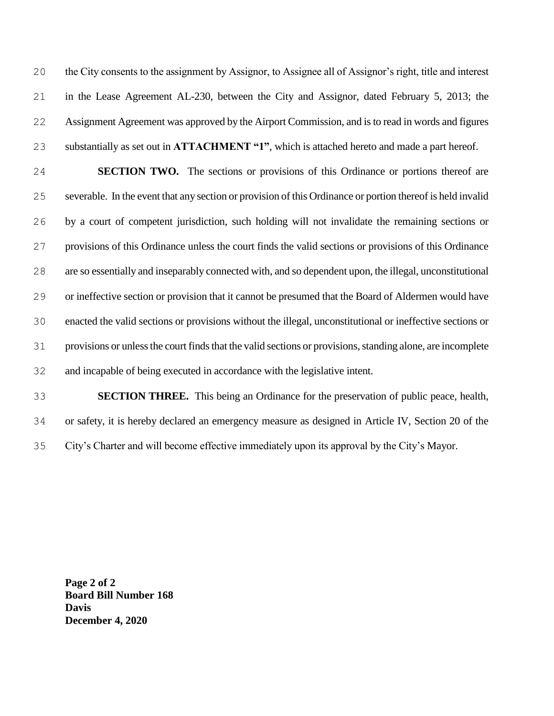the City consents to the assignment by Assignor, to Assignee all of Assignor's right, title and interest in the Lease Agreement AL-230, between the City and Assignor, dated February 5, 2013; the Assignment Agreement was approved by the Airport Commission, and is to read in words and figures substantially as set out in **ATTACHMENT "1"**, which is attached hereto and made a part hereof.

 **SECTION TWO.** The sections or provisions of this Ordinance or portions thereof are severable. In the event that any section or provision of this Ordinance or portion thereof is held invalid by a court of competent jurisdiction, such holding will not invalidate the remaining sections or provisions of this Ordinance unless the court finds the valid sections or provisions of this Ordinance are so essentially and inseparably connected with, and so dependent upon, the illegal, unconstitutional or ineffective section or provision that it cannot be presumed that the Board of Aldermen would have enacted the valid sections or provisions without the illegal, unconstitutional or ineffective sections or provisions or unless the court finds that the valid sections or provisions, standing alone, are incomplete and incapable of being executed in accordance with the legislative intent.

 **SECTION THREE.** This being an Ordinance for the preservation of public peace, health, or safety, it is hereby declared an emergency measure as designed in Article IV, Section 20 of the City's Charter and will become effective immediately upon its approval by the City's Mayor.

**Page 2 of 2 Board Bill Number 168 Davis December 4, 2020**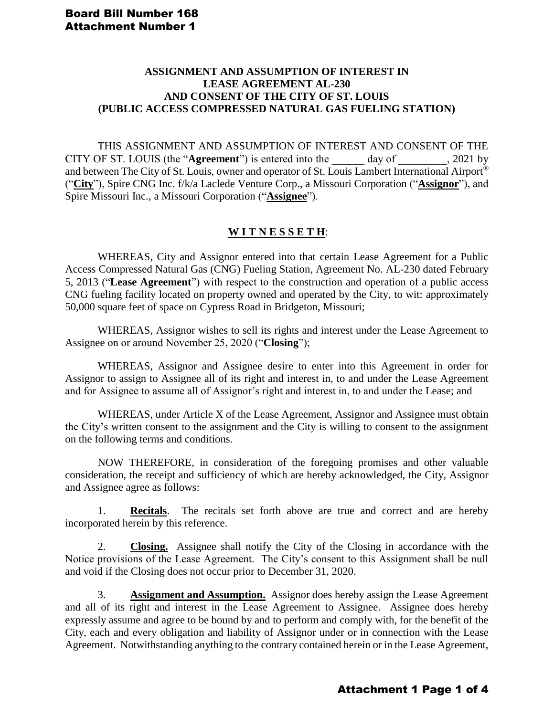#### **ASSIGNMENT AND ASSUMPTION OF INTEREST IN LEASE AGREEMENT AL-230 AND CONSENT OF THE CITY OF ST. LOUIS (PUBLIC ACCESS COMPRESSED NATURAL GAS FUELING STATION)**

THIS ASSIGNMENT AND ASSUMPTION OF INTEREST AND CONSENT OF THE CITY OF ST. LOUIS (the "**Agreement**") is entered into the \_\_\_\_\_\_ day of \_\_\_\_\_\_\_\_\_, 2021 by and between The City of St. Louis, owner and operator of St. Louis Lambert International Airport® ("**City**"), Spire CNG Inc. f/k/a Laclede Venture Corp., a Missouri Corporation ("**Assignor**"), and Spire Missouri Inc., a Missouri Corporation ("**Assignee**").

## **W I T N E S S E T H**:

WHEREAS, City and Assignor entered into that certain Lease Agreement for a Public Access Compressed Natural Gas (CNG) Fueling Station, Agreement No. AL-230 dated February 5, 2013 ("**Lease Agreement**") with respect to the construction and operation of a public access CNG fueling facility located on property owned and operated by the City, to wit: approximately 50,000 square feet of space on Cypress Road in Bridgeton, Missouri;

WHEREAS, Assignor wishes to sell its rights and interest under the Lease Agreement to Assignee on or around November 25, 2020 ("**Closing**");

WHEREAS, Assignor and Assignee desire to enter into this Agreement in order for Assignor to assign to Assignee all of its right and interest in, to and under the Lease Agreement and for Assignee to assume all of Assignor's right and interest in, to and under the Lease; and

WHEREAS, under Article X of the Lease Agreement, Assignor and Assignee must obtain the City's written consent to the assignment and the City is willing to consent to the assignment on the following terms and conditions.

NOW THEREFORE, in consideration of the foregoing promises and other valuable consideration, the receipt and sufficiency of which are hereby acknowledged, the City, Assignor and Assignee agree as follows:

1. **Recitals**. The recitals set forth above are true and correct and are hereby incorporated herein by this reference.

2. **Closing.** Assignee shall notify the City of the Closing in accordance with the Notice provisions of the Lease Agreement. The City's consent to this Assignment shall be null and void if the Closing does not occur prior to December 31, 2020.

3. **Assignment and Assumption.** Assignor does hereby assign the Lease Agreement and all of its right and interest in the Lease Agreement to Assignee. Assignee does hereby expressly assume and agree to be bound by and to perform and comply with, for the benefit of the City, each and every obligation and liability of Assignor under or in connection with the Lease Agreement. Notwithstanding anything to the contrary contained herein or in the Lease Agreement,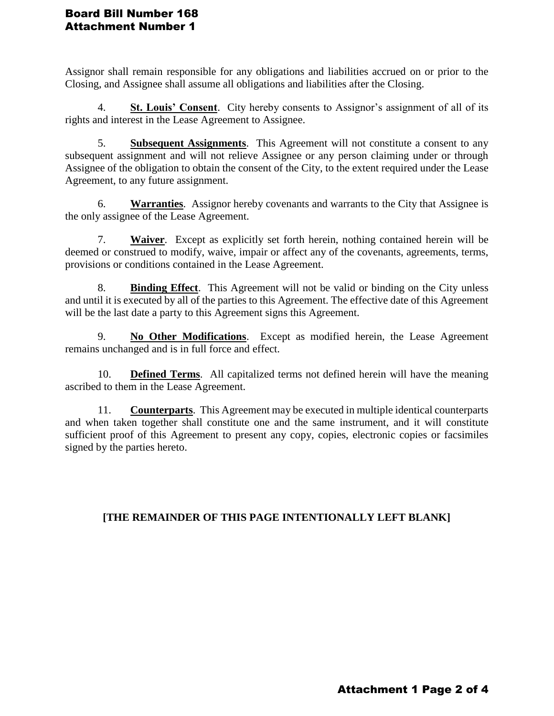## Board Bill Number 168 Attachment Number 1

Assignor shall remain responsible for any obligations and liabilities accrued on or prior to the Closing, and Assignee shall assume all obligations and liabilities after the Closing.

4. **St. Louis' Consent**. City hereby consents to Assignor's assignment of all of its rights and interest in the Lease Agreement to Assignee.

5. **Subsequent Assignments**. This Agreement will not constitute a consent to any subsequent assignment and will not relieve Assignee or any person claiming under or through Assignee of the obligation to obtain the consent of the City, to the extent required under the Lease Agreement, to any future assignment.

6. **Warranties**. Assignor hereby covenants and warrants to the City that Assignee is the only assignee of the Lease Agreement.

7. **Waiver**. Except as explicitly set forth herein, nothing contained herein will be deemed or construed to modify, waive, impair or affect any of the covenants, agreements, terms, provisions or conditions contained in the Lease Agreement.

8. **Binding Effect**. This Agreement will not be valid or binding on the City unless and until it is executed by all of the parties to this Agreement. The effective date of this Agreement will be the last date a party to this Agreement signs this Agreement.

9. **No Other Modifications**. Except as modified herein, the Lease Agreement remains unchanged and is in full force and effect.

10. **Defined Terms**. All capitalized terms not defined herein will have the meaning ascribed to them in the Lease Agreement.

11. **Counterparts**. This Agreement may be executed in multiple identical counterparts and when taken together shall constitute one and the same instrument, and it will constitute sufficient proof of this Agreement to present any copy, copies, electronic copies or facsimiles signed by the parties hereto.

# **[THE REMAINDER OF THIS PAGE INTENTIONALLY LEFT BLANK]**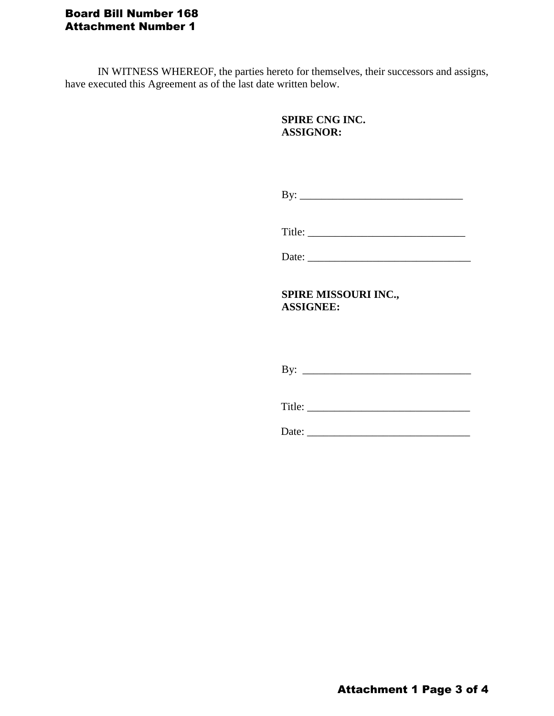# Board Bill Number 168 Attachment Number 1

IN WITNESS WHEREOF, the parties hereto for themselves, their successors and assigns, have executed this Agreement as of the last date written below.

# **SPIRE CNG INC. ASSIGNOR:**

By: \_\_\_\_\_\_\_\_\_\_\_\_\_\_\_\_\_\_\_\_\_\_\_\_\_\_\_\_\_\_

Title: \_\_\_\_\_\_\_\_\_\_\_\_\_\_\_\_\_\_\_\_\_\_\_\_\_\_\_\_\_

Date:

**SPIRE MISSOURI INC., ASSIGNEE:**

By: \_\_\_\_\_\_\_\_\_\_\_\_\_\_\_\_\_\_\_\_\_\_\_\_\_\_\_\_\_\_\_

Title: \_\_\_\_\_\_\_\_\_\_\_\_\_\_\_\_\_\_\_\_\_\_\_\_\_\_\_\_\_\_

Date: \_\_\_\_\_\_\_\_\_\_\_\_\_\_\_\_\_\_\_\_\_\_\_\_\_\_\_\_\_\_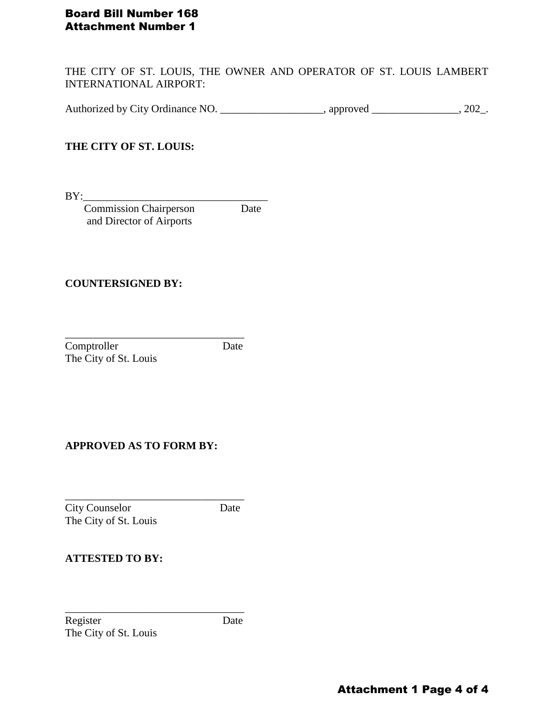## Board Bill Number 168 Attachment Number 1

THE CITY OF ST. LOUIS, THE OWNER AND OPERATOR OF ST. LOUIS LAMBERT INTERNATIONAL AIRPORT:

Authorized by City Ordinance NO. \_\_\_\_\_\_\_\_\_\_\_\_\_\_\_\_\_\_\_\_, approved \_\_\_\_\_\_\_\_\_\_\_\_\_\_\_, 202\_.

# **THE CITY OF ST. LOUIS:**

BY:\_\_\_\_\_\_\_\_\_\_\_\_\_\_\_\_\_\_\_\_\_\_\_\_\_\_\_\_\_\_\_\_\_\_

 Commission Chairperson Date and Director of Airports

\_\_\_\_\_\_\_\_\_\_\_\_\_\_\_\_\_\_\_\_\_\_\_\_\_\_\_\_\_\_\_\_\_

#### **COUNTERSIGNED BY:**

Comptroller Date The City of St. Louis

#### **APPROVED AS TO FORM BY:**

\_\_\_\_\_\_\_\_\_\_\_\_\_\_\_\_\_\_\_\_\_\_\_\_\_\_\_\_\_\_\_\_\_ City Counselor Date The City of St. Louis

#### **ATTESTED TO BY:**

Register Date The City of St. Louis

\_\_\_\_\_\_\_\_\_\_\_\_\_\_\_\_\_\_\_\_\_\_\_\_\_\_\_\_\_\_\_\_\_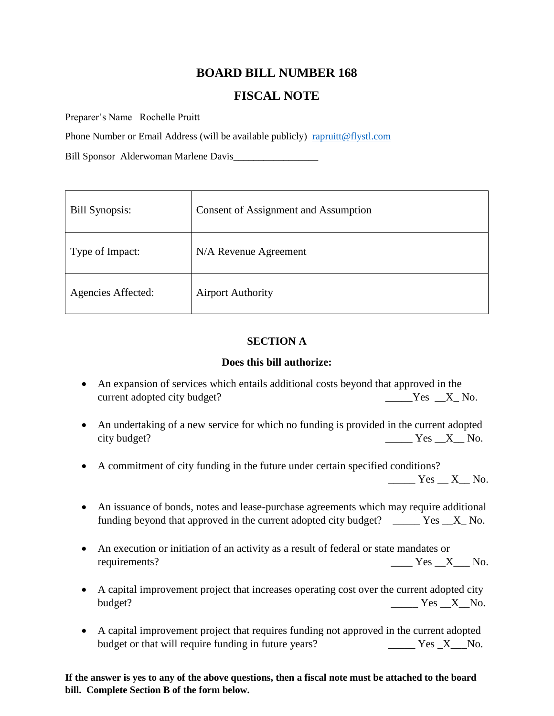# **BOARD BILL NUMBER 168**

# **FISCAL NOTE**

Preparer's Name Rochelle Pruitt

Phone Number or Email Address (will be available publicly) [rapruitt@flystl.com](mailto:rapruitt@flystl.com)

Bill Sponsor Alderwoman Marlene Davis\_\_\_\_\_\_\_\_\_\_\_\_\_\_\_\_\_

| <b>Bill Synopsis:</b> | Consent of Assignment and Assumption |
|-----------------------|--------------------------------------|
| Type of Impact:       | N/A Revenue Agreement                |
| Agencies Affected:    | <b>Airport Authority</b>             |

#### **SECTION A**

#### **Does this bill authorize:**

- An expansion of services which entails additional costs beyond that approved in the current adopted city budget? <br>
No. Solution 1. The same set of the set of the set of the set of the set of the set of the set of the set of the set of the set of the set of the set of the set of the set of the set of the s
- An undertaking of a new service for which no funding is provided in the current adopted city budget? No. 2012 12:30 No. 2013 12:30 No. 2013 12:30 No. 2014 12:30 No. 2014 12:30 No. 2014 12:30 No. 2014 12:30 No. 2014 12:30 No. 2014 12:30 No. 2014 12:30 No. 2014 12:30 No. 2014 12:30 No. 2014 12:30 No. 2014 12:30
- A commitment of city funding in the future under certain specified conditions?

 $Yes$   $X$  No.

- An issuance of bonds, notes and lease-purchase agreements which may require additional funding beyond that approved in the current adopted city budget? \_\_\_\_\_ Yes \_\_X\_ No.
- An execution or initiation of an activity as a result of federal or state mandates or requirements?  $\qquad \qquad \qquad \qquad \qquad \qquad \qquad \qquad \qquad \text{Yes } \_ X \_ \qquad \text{No.}$
- A capital improvement project that increases operating cost over the current adopted city budget? No. 2008 No. 2008 No. 2008 No. 2008 No. 2008 No. 2008 No. 2008 No. 2008 No. 2008 No. 2008 No. 2008 No.
- A capital improvement project that requires funding not approved in the current adopted budget or that will require funding in future years? The Mess Lemma Yes Lemma Yes Lemma No.

**If the answer is yes to any of the above questions, then a fiscal note must be attached to the board bill. Complete Section B of the form below.**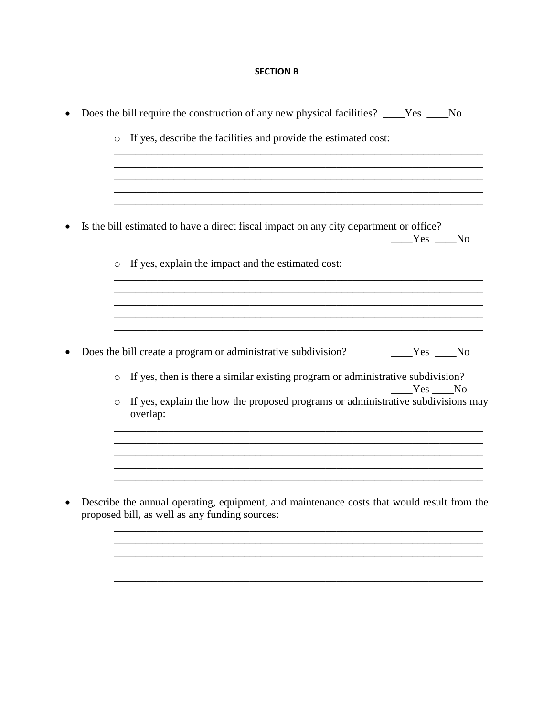## **SECTION B**

|  | $\circ$ | If yes, describe the facilities and provide the estimated cost:                                  |
|--|---------|--------------------------------------------------------------------------------------------------|
|  |         |                                                                                                  |
|  |         |                                                                                                  |
|  |         | Is the bill estimated to have a direct fiscal impact on any city department or office?<br>Yes No |
|  | $\circ$ | If yes, explain the impact and the estimated cost:                                               |
|  |         |                                                                                                  |
|  |         | Does the bill create a program or administrative subdivision?<br>$Yes$ No                        |
|  | $\circ$ | If yes, then is there a similar existing program or administrative subdivision?                  |
|  |         | Yes No                                                                                           |
|  | $\circ$ | If yes, explain the how the proposed programs or administrative subdivisions may<br>overlap:     |
|  |         |                                                                                                  |
|  |         |                                                                                                  |
|  |         |                                                                                                  |
|  |         |                                                                                                  |
|  |         | Describe the annual operating, equipment, and maintenance costs that would result from the       |